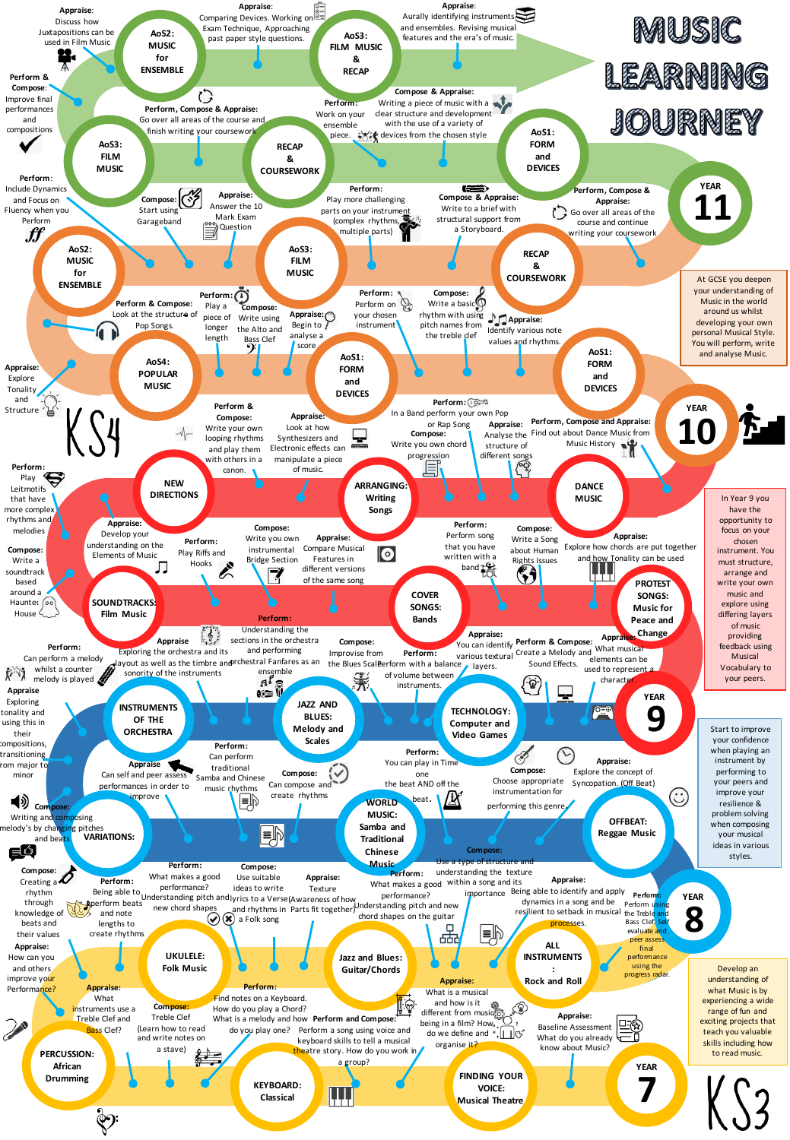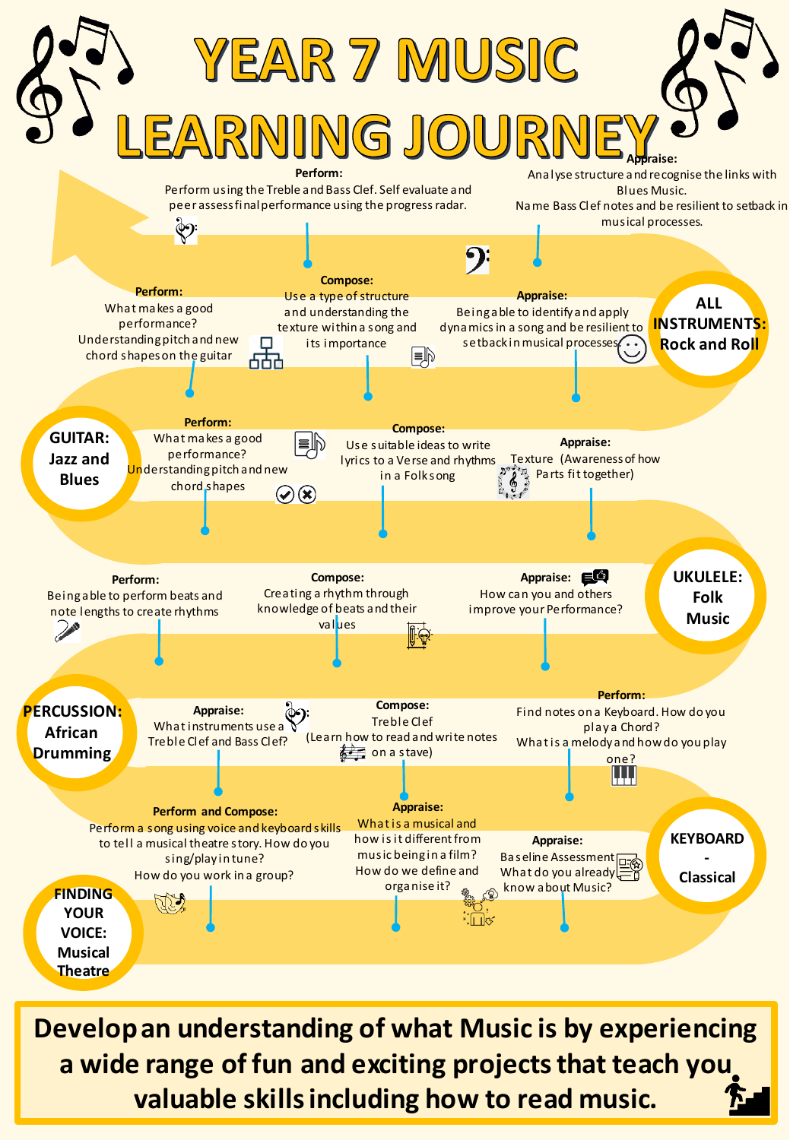

**Develop an understanding of what Music is by experiencing a wide range of fun and exciting projects that teach you valuable skills including how to read music.**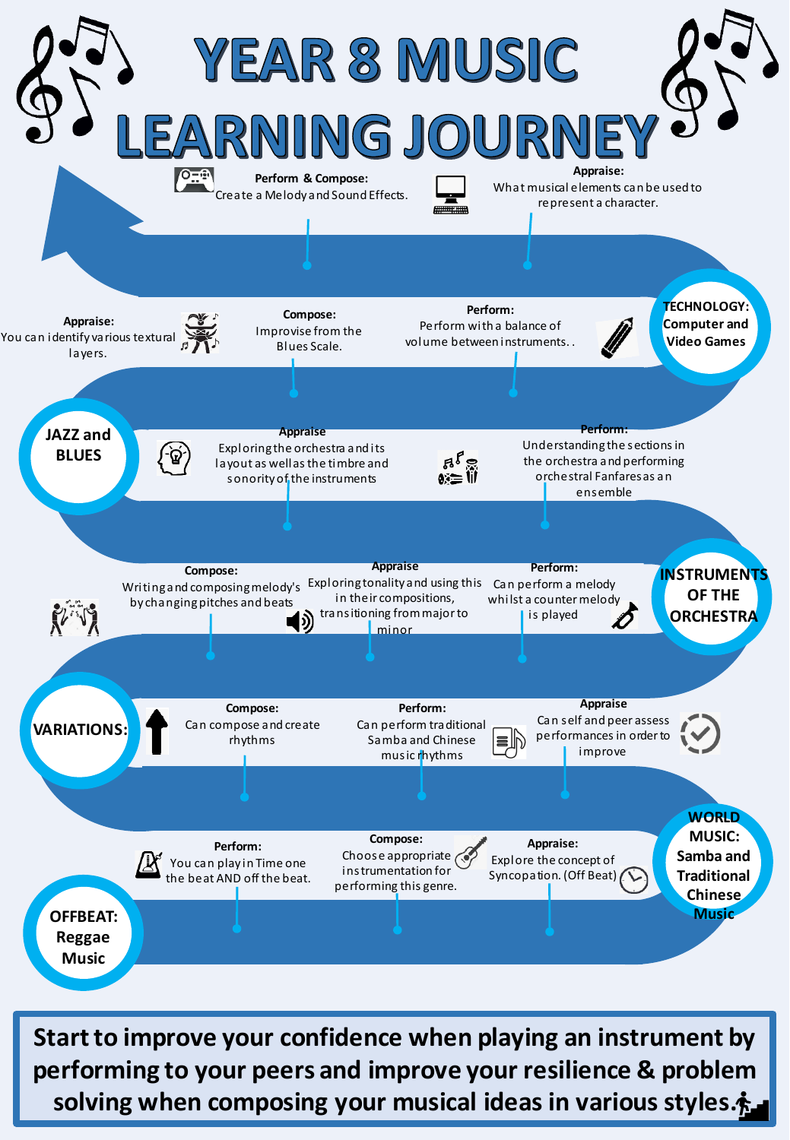

**Start to improve your confidence when playing an instrument by performing to your peers and improve your resilience & problem solving when composing your musical ideas in various styles.**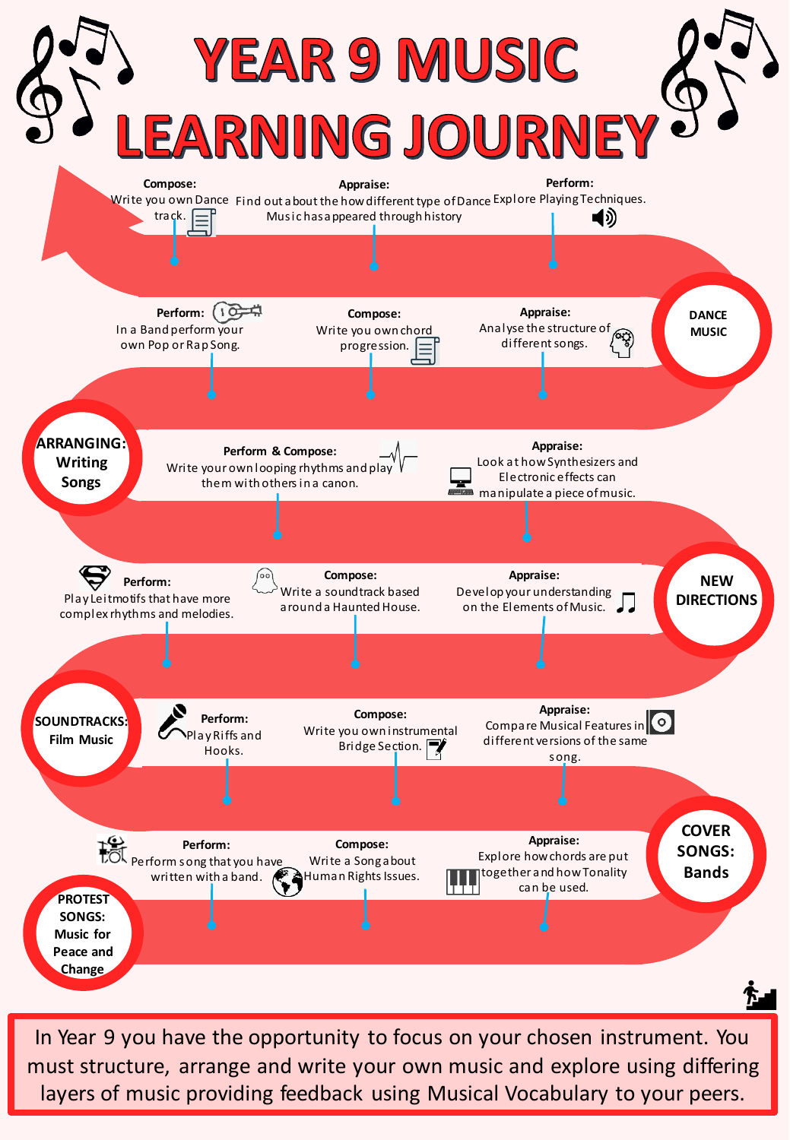

In Year 9 you have the opportunity to focus on your chosen instrument. You must structure, arrange and write your own music and explore using differing layers of music providing feedback using Musical Vocabulary to your peers.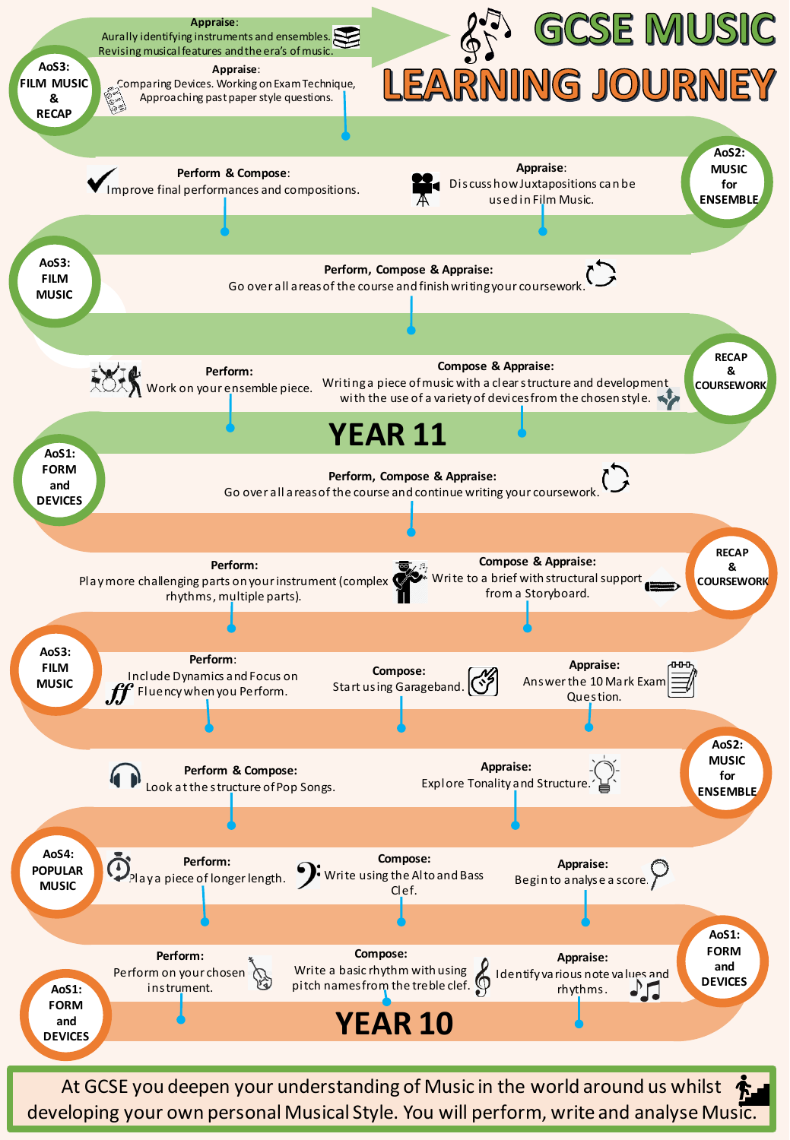

developing your own personal Musical Style. You will perform, write and analyse Music.